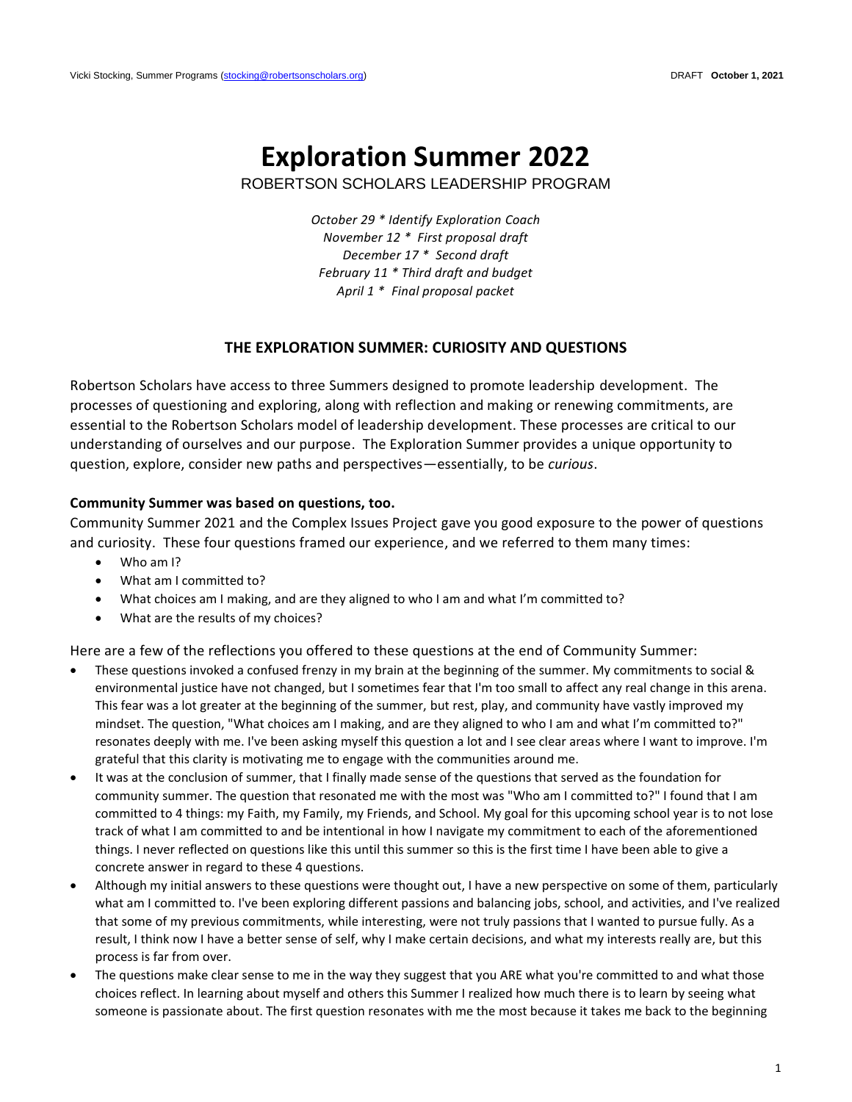# **Exploration Summer 2022**

ROBERTSON SCHOLARS LEADERSHIP PROGRAM

*October 29 \* Identify Exploration Coach November 12 \* First proposal draft December 17 \* Second draft February 11 \* Third draft and budget April 1 \* Final proposal packet*

## **THE EXPLORATION SUMMER: CURIOSITY AND QUESTIONS**

Robertson Scholars have access to three Summers designed to promote leadership development. The processes of questioning and exploring, along with reflection and making or renewing commitments, are essential to the Robertson Scholars model of leadership development. These processes are critical to our understanding of ourselves and our purpose. The Exploration Summer provides a unique opportunity to question, explore, consider new paths and perspectives—essentially, to be *curious*.

#### **Community Summer was based on questions, too.**

Community Summer 2021 and the Complex Issues Project gave you good exposure to the power of questions and curiosity. These four questions framed our experience, and we referred to them many times:

- Who am I?
- What am I committed to?
- What choices am I making, and are they aligned to who I am and what I'm committed to?
- What are the results of my choices?

Here are a few of the reflections you offered to these questions at the end of Community Summer:

- These questions invoked a confused frenzy in my brain at the beginning of the summer. My commitments to social & environmental justice have not changed, but I sometimes fear that I'm too small to affect any real change in this arena. This fear was a lot greater at the beginning of the summer, but rest, play, and community have vastly improved my mindset. The question, "What choices am I making, and are they aligned to who I am and what I'm committed to?" resonates deeply with me. I've been asking myself this question a lot and I see clear areas where I want to improve. I'm grateful that this clarity is motivating me to engage with the communities around me.
- It was at the conclusion of summer, that I finally made sense of the questions that served as the foundation for community summer. The question that resonated me with the most was "Who am I committed to?" I found that I am committed to 4 things: my Faith, my Family, my Friends, and School. My goal for this upcoming school year is to not lose track of what I am committed to and be intentional in how I navigate my commitment to each of the aforementioned things. I never reflected on questions like this until this summer so this is the first time I have been able to give a concrete answer in regard to these 4 questions.
- Although my initial answers to these questions were thought out, I have a new perspective on some of them, particularly what am I committed to. I've been exploring different passions and balancing jobs, school, and activities, and I've realized that some of my previous commitments, while interesting, were not truly passions that I wanted to pursue fully. As a result, I think now I have a better sense of self, why I make certain decisions, and what my interests really are, but this process is far from over.
- The questions make clear sense to me in the way they suggest that you ARE what you're committed to and what those choices reflect. In learning about myself and others this Summer I realized how much there is to learn by seeing what someone is passionate about. The first question resonates with me the most because it takes me back to the beginning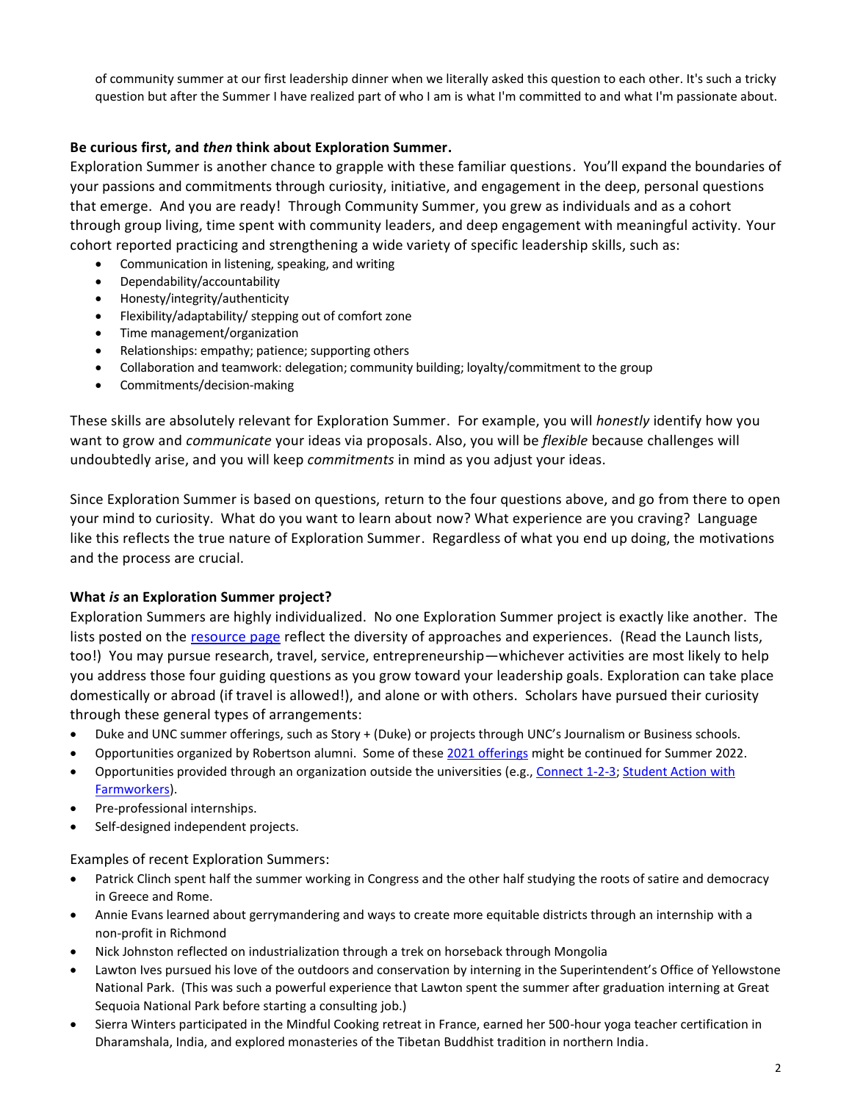of community summer at our first leadership dinner when we literally asked this question to each other. It's such a tricky question but after the Summer I have realized part of who I am is what I'm committed to and what I'm passionate about.

# **Be curious first, and** *then* **think about Exploration Summer.**

Exploration Summer is another chance to grapple with these familiar questions. You'll expand the boundaries of your passions and commitments through curiosity, initiative, and engagement in the deep, personal questions that emerge. And you are ready! Through Community Summer, you grew as individuals and as a cohort through group living, time spent with community leaders, and deep engagement with meaningful activity. Your cohort reported practicing and strengthening a wide variety of specific leadership skills, such as:

- Communication in listening, speaking, and writing
- Dependability/accountability
- Honesty/integrity/authenticity
- Flexibility/adaptability/ stepping out of comfort zone
- Time management/organization
- Relationships: empathy; patience; supporting others
- Collaboration and teamwork: delegation; community building; loyalty/commitment to the group
- Commitments/decision-making

These skills are absolutely relevant for Exploration Summer. For example, you will *honestly* identify how you want to grow and *communicate* your ideas via proposals. Also, you will be *flexible* because challenges will undoubtedly arise, and you will keep *commitments* in mind as you adjust your ideas.

Since Exploration Summer is based on questions, return to the four questions above, and go from there to open your mind to curiosity. What do you want to learn about now? What experience are you craving? Language like this reflects the true nature of Exploration Summer. Regardless of what you end up doing, the motivations and the process are crucial.

## **What** *is* **an Exploration Summer project?**

Exploration Summers are highly individualized. No one Exploration Summer project is exactly like another. The lists posted on the [resource page](https://robertsonscholars.org/current-scholar-resources-exploration-and-launch-summer/) reflect the diversity of approaches and experiences. (Read the Launch lists, too!) You may pursue research, travel, service, entrepreneurship—whichever activities are most likely to help you address those four guiding questions as you grow toward your leadership goals. Exploration can take place domestically or abroad (if travel is allowed!), and alone or with others. Scholars have pursued their curiosity through these general types of arrangements:

- Duke and UNC summer offerings, such as Story + (Duke) or projects through UNC's Journalism or Business schools.
- Opportunities organized by Robertson alumni. Some of these 2021 [offerings](https://docs.google.com/spreadsheets/d/1LZzcgjgyOm58EgIcH3FyPokrG9Dz4TP49oEH5imMLUo/edit?usp=sharing) might be continued for Summer 2022.
- Opportunities provided through an organization outside the universities (e.g.[, Connect 1-2-3;](http://www.connect-123.com/) Student Action with [Farmworkers\)](http://www.saf-unite.org/).
- Pre-professional internships.
- Self-designed independent projects.

## Examples of recent Exploration Summers:

- Patrick Clinch spent half the summer working in Congress and the other half studying the roots of satire and democracy in Greece and Rome.
- Annie Evans learned about gerrymandering and ways to create more equitable districts through an internship with a non-profit in Richmond
- Nick Johnston reflected on industrialization through a trek on horseback through Mongolia
- Lawton Ives pursued his love of the outdoors and conservation by interning in the Superintendent's Office of Yellowstone National Park. (This was such a powerful experience that Lawton spent the summer after graduation interning at Great Sequoia National Park before starting a consulting job.)
- Sierra Winters participated in the Mindful Cooking retreat in France, earned her 500-hour yoga teacher certification in Dharamshala, India, and explored monasteries of the Tibetan Buddhist tradition in northern India.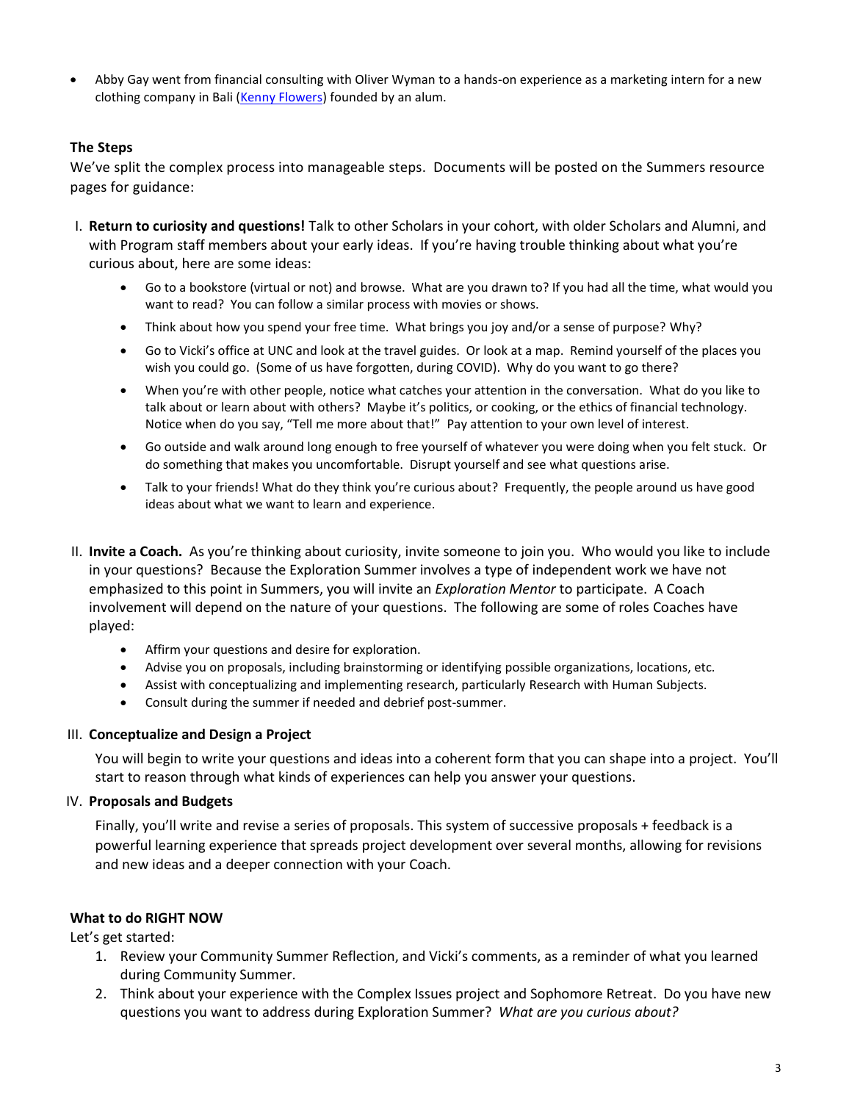• Abby Gay went from financial consulting with Oliver Wyman to a hands-on experience as a marketing intern for a new clothing company in Bali [\(Kenny Flowers\)](https://www.kennyflowers.com/collections/new-releases?gclid=CjwKCAjw7rWKBhAtEiwAJ3CWLPPy54Qwe4LOIMgttq5MoaeLDetZ3d1rV_TReM_MkxyX__9L5Es5LRoCIHQQAvD_BwE) founded by an alum.

# **The Steps**

We've split the complex process into manageable steps. Documents will be posted on the Summers resource pages for guidance:

- I. **Return to curiosity and questions!** Talk to other Scholars in your cohort, with older Scholars and Alumni, and with Program staff members about your early ideas. If you're having trouble thinking about what you're curious about, here are some ideas:
	- Go to a bookstore (virtual or not) and browse. What are you drawn to? If you had all the time, what would you want to read? You can follow a similar process with movies or shows.
	- Think about how you spend your free time. What brings you joy and/or a sense of purpose? Why?
	- Go to Vicki's office at UNC and look at the travel guides. Or look at a map. Remind yourself of the places you wish you could go. (Some of us have forgotten, during COVID). Why do you want to go there?
	- When you're with other people, notice what catches your attention in the conversation. What do you like to talk about or learn about with others? Maybe it's politics, or cooking, or the ethics of financial technology. Notice when do you say, "Tell me more about that!" Pay attention to your own level of interest.
	- Go outside and walk around long enough to free yourself of whatever you were doing when you felt stuck. Or do something that makes you uncomfortable. Disrupt yourself and see what questions arise.
	- Talk to your friends! What do they think you're curious about? Frequently, the people around us have good ideas about what we want to learn and experience.
- II. **Invite a Coach.** As you're thinking about curiosity, invite someone to join you. Who would you like to include in your questions? Because the Exploration Summer involves a type of independent work we have not emphasized to this point in Summers, you will invite an *Exploration Mentor* to participate. A Coach involvement will depend on the nature of your questions. The following are some of roles Coaches have played:
	- Affirm your questions and desire for exploration.
	- Advise you on proposals, including brainstorming or identifying possible organizations, locations, etc.
	- Assist with conceptualizing and implementing research, particularly Research with Human Subjects.
	- Consult during the summer if needed and debrief post-summer.

#### III. **Conceptualize and Design a Project**

You will begin to write your questions and ideas into a coherent form that you can shape into a project. You'll start to reason through what kinds of experiences can help you answer your questions.

## IV. **Proposals and Budgets**

Finally, you'll write and revise a series of proposals. This system of successive proposals + feedback is a powerful learning experience that spreads project development over several months, allowing for revisions and new ideas and a deeper connection with your Coach.

## **What to do RIGHT NOW**

Let's get started:

- 1. Review your Community Summer Reflection, and Vicki's comments, as a reminder of what you learned during Community Summer.
- 2. Think about your experience with the Complex Issues project and Sophomore Retreat. Do you have new questions you want to address during Exploration Summer? *What are you curious about?*